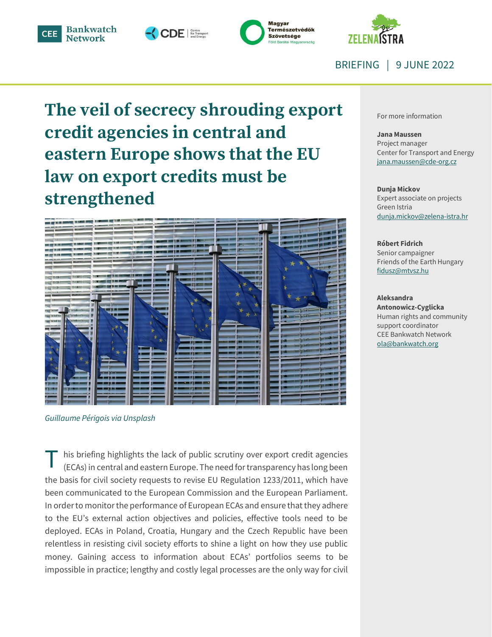







BRIEFING | 9 JUNE 2022

# **The veil of secrecy shrouding export credit agencies in central and eastern Europe shows that the EU law on export credits must be strengthened**



*Guillaume Périgois via Unsplash*

his briefing highlights the lack of public scrutiny over export credit agencies (ECAs) in central and eastern Europe. The need for transparency has long been the basis for civil society requests to revise EU Regulation 1233/2011, which have been communicated to the European Commission and the European Parliament. In order to monitor the performance of European ECAs and ensure that they adhere to the EU's external action objectives and policies, effective tools need to be deployed. ECAs in Poland, Croatia, Hungary and the Czech Republic have been relentless in resisting civil society efforts to shine a light on how they use public money. Gaining access to information about ECAs' portfolios seems to be impossible in practice; lengthy and costly legal processes are the only way for civil T

For more information

#### **Jana Maussen**

Project manager Center for Transport and Energy jana.maussen@cde-org.cz

#### **Dunja Mickov**

Expert associate on projects Green Istria [dunja.mickov@zelena-istra.hr](mailto:dunja.mickov@zelena-istra.hr)

#### **Róbert Fidrich**

Senior campaigner Friends of the Earth Hungary [fidusz@mtvsz.hu](mailto:fidusz@mtvsz.hu)

#### **Aleksandra**

**Antonowicz-Cyglicka** Human rights and community support coordinator CEE Bankwatch Network ola@bankwatch.org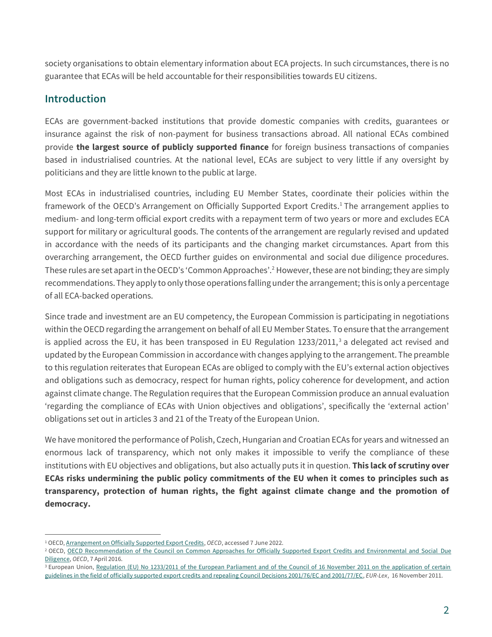society organisations to obtain elementary information about ECA projects. In such circumstances, there is no guarantee that ECAs will be held accountable for their responsibilities towards EU citizens.

# **Introduction**

 $\overline{a}$ 

ECAs are government-backed institutions that provide domestic companies with credits, guarantees or insurance against the risk of non-payment for business transactions abroad. All national ECAs combined provide **the largest source of publicly supported finance** for foreign business transactions of companies based in industrialised countries. At the national level, ECAs are subject to very little if any oversight by politicians and they are little known to the public at large.

Most ECAs in industrialised countries, including EU Member States, coordinate their policies within the framework of the OECD's Arrangement on Officially Supported Export Credits. <sup>1</sup> The arrangement applies to medium- and long-term official export credits with a repayment term of two years or more and excludes ECA support for military or agricultural goods. The contents of the arrangement are regularly revised and updated in accordance with the needs of its participants and the changing market circumstances. Apart from this overarching arrangement, the OECD further guides on environmental and social due diligence procedures. These rules are set apart in the OECD's 'Common Approaches'. <sup>2</sup> However, these are not binding; they are simply recommendations. They apply to only those operations falling under the arrangement; this is only a percentage of all ECA-backed operations.

Since trade and investment are an EU competency, the European Commission is participating in negotiations within the OECD regarding the arrangement on behalf of all EU Member States. To ensure that the arrangement is applied across the EU, it has been transposed in EU Regulation  $1233/2011$ ,<sup>3</sup> a delegated act revised and updated by the European Commission in accordance with changes applying to the arrangement. The preamble to this regulation reiterates that European ECAs are obliged to comply with the EU's external action objectives and obligations such as democracy, respect for human rights, policy coherence for development, and action against climate change. The Regulation requires that the European Commission produce an annual evaluation 'regarding the compliance of ECAs with Union objectives and obligations', specifically the 'external action' obligations set out in articles 3 and 21 of the Treaty of the European Union.

We have monitored the performance of Polish, Czech, Hungarian and Croatian ECAs for years and witnessed an enormous lack of transparency, which not only makes it impossible to verify the compliance of these institutions with EU objectives and obligations, but also actually puts it in question. **This lack of scrutiny over ECAs risks undermining the public policy commitments of the EU when it comes to principles such as transparency, protection of human rights, the fight against climate change and the promotion of democracy.**

<sup>&</sup>lt;sup>1</sup> OECD[, Arrangement on Officially Supported Export Credits,](https://www.oecd.org/trade/topics/export-credits/arrangement-and-sector-understandings/) OECD, accessed 7 June 2022.

<sup>&</sup>lt;sup>2</sup> OECD, <u>OECD Recommendation of the Council on Common Approaches for Officially Supported Export Credits and Environmental and Social Due</u> [Diligence,](https://www.oecd.org/trade/topics/export-credits/environmental-and-social-due-diligence/) *OECD*, 7 April 2016.

<sup>&</sup>lt;sup>3</sup> European Union, Regulation (EU) No 1233/2011 of the European Parliament and of the Council of 16 November 2011 on the application of certain [guidelines in the field of officially supported export credits and repealing Council Decisions 2001/76/EC and 2001/77/EC,](https://eur-lex.europa.eu/legal-content/EN/TXT/?uri=CELEX%3A32011R1233) *EUR-Lex*, 16 November 2011.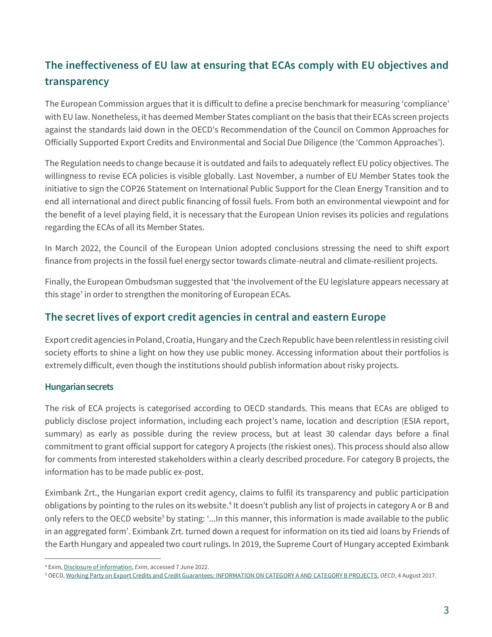# **The ineffectiveness of EU law at ensuring that ECAs comply with EU objectives and transparency**

The European Commission argues that it is difficult to define a precise benchmark for measuring 'compliance' with EU law. Nonetheless, it has deemed Member States compliant on the basis that their ECAs screen projects against the standards laid down in the OECD's Recommendation of the Council on Common Approaches for Officially Supported Export Credits and Environmental and Social Due Diligence (the 'Common Approaches').

The Regulation needs to change because it is outdated and fails to adequately reflect EU policy objectives. The willingness to revise ECA policies is visible globally. Last November, a number of EU Member States took the initiative to sign the COP26 Statement on International Public Support for the Clean Energy Transition and to end all international and direct public financing of fossil fuels. From both an environmental viewpoint and for the benefit of a level playing field, it is necessary that the European Union revises its policies and regulations regarding the ECAs of all its Member States.

In March 2022, the Council of the European Union adopted conclusions stressing the need to shift export finance from projects in the fossil fuel energy sector towards climate-neutral and climate-resilient projects.

Finally, the European Ombudsman suggested that 'the involvement of the EU legislature appears necessary at this stage' in order to strengthen the monitoring of European ECAs.

# **The secret lives of export credit agencies in central and eastern Europe**

Export credit agencies in Poland, Croatia, Hungary and the Czech Republic have been relentless in resisting civil society efforts to shine a light on how they use public money. Accessing information about their portfolios is extremely difficult, even though the institutions should publish information about risky projects.

## **Hungarian secrets**

 $\overline{a}$ 

The risk of ECA projects is categorised according to OECD standards. This means that ECAs are obliged to publicly disclose project information, including each project's name, location and description (ESIA report, summary) as early as possible during the review process, but at least 30 calendar days before a final commitment to grant official support for category A projects (the riskiest ones). This process should also allow for comments from interested stakeholders within a clearly described procedure. For category B projects, the information has to be made public ex-post.

Eximbank Zrt., the Hungarian export credit agency, claims to fulfil its transparency and public participation obligations by pointing to the rules on its website.<sup>4</sup> It doesn't publish any list of projects in category A or B and only refers to the OECD website<sup>5</sup> by stating: '...In this manner, this information is made available to the public in an aggregated form'. Eximbank Zrt. turned down a request for information on its tied aid loans by Friends of the Earth Hungary and appealed two court rulings. In 2019, the Supreme Court of Hungary accepted Eximbank

<sup>4</sup> Exim[, Disclosure of information,](https://exim.hu/en/conditions/eximbank-conditions/bank-regulations/environmental-and-social-policy/disclosure) *Exim*, accessed 7 June 2022.

<sup>5</sup> OECD[, Working Party on Export Credits and Credit Guarantees: INFORMATION ON CATEGORY A AND CATEGORY B PROJECTS,](https://www.oecd.org/officialdocuments/publicdisplaydocumentpdf/?cote=tad/ecg(2017)3/final&doclanguage=en) *OECD*, 4 August 2017.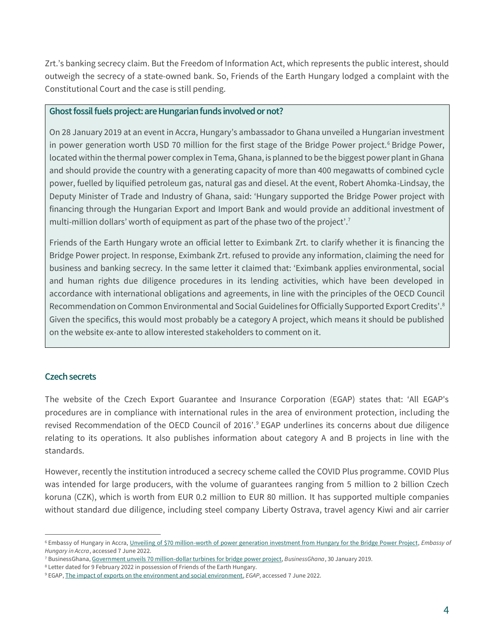Zrt.'s banking secrecy claim. But the Freedom of Information Act, which represents the public interest, should outweigh the secrecy of a state-owned bank. So, Friends of the Earth Hungary lodged a complaint with the Constitutional Court and the case is still pending.

#### **Ghost fossil fuels project: are Hungarian funds involved or not?**

On 28 January 2019 at an event in Accra, Hungary's ambassador to Ghana unveiled a Hungarian investment in power generation worth USD 70 million for the first stage of the Bridge Power project.<sup>6</sup> Bridge Power, located within the thermal power complex in Tema, Ghana, is planned to be the biggest power plant in Ghana and should provide the country with a generating capacity of more than 400 megawatts of combined cycle power, fuelled by liquified petroleum gas, natural gas and diesel. At the event, Robert Ahomka-Lindsay, the Deputy Minister of Trade and Industry of Ghana, said: 'Hungary supported the Bridge Power project with financing through the Hungarian Export and Import Bank and would provide an additional investment of multi-million dollars' worth of equipment as part of the phase two of the project'.<sup>7</sup>

Friends of the Earth Hungary wrote an official letter to Eximbank Zrt. to clarify whether it is financing the Bridge Power project. In response, Eximbank Zrt. refused to provide any information, claiming the need for business and banking secrecy. In the same letter it claimed that: 'Eximbank applies environmental, social and human rights due diligence procedures in its lending activities, which have been developed in accordance with international obligations and agreements, in line with the principles of the OECD Council Recommendation on Common Environmental and Social Guidelines for Officially Supported Export Credits'.<sup>8</sup> Given the specifics, this would most probably be a category A project, which means it should be published on the website ex-ante to allow interested stakeholders to comment on it.

### **Czech secrets**

 $\overline{a}$ 

The website of the Czech Export Guarantee and Insurance Corporation (EGAP) states that: 'All EGAP's procedures are in compliance with international rules in the area of environment protection, including the revised Recommendation of the OECD Council of 2016'.<sup>9</sup> EGAP underlines its concerns about due diligence relating to its operations. It also publishes information about category A and B projects in line with the standards.

However, recently the institution introduced a secrecy scheme called the COVID Plus programme. COVID Plus was intended for large producers, with the volume of guarantees ranging from 5 million to 2 billion Czech koruna (CZK), which is worth from EUR 0.2 million to EUR 80 million. It has supported multiple companies without standard due diligence, including steel company Liberty Ostrava, travel agency Kiwi and air carrier

<sup>6</sup> Embassy of Hungary in Accra[, Unveiling of \\$70 million-worth of power generation investment from Hungary for the Bridge Power Project,](https://accra.mfa.gov.hu/eng/news/unveiling-of-70-million-worth-of-power-generation-investment-from-hungary-for-the-bridge-power-project) *Embassy of Hungary in Accra*, accessed 7 June 2022.

<sup>7</sup> BusinessGhana[, Government unveils 70 million-dollar turbines for bridge power project,](https://www.businessghana.com/site/news/general/181032/Government-unveils-70-million-dollar-turbines-for-bridge-power-project) *BusinessGhana*, 30 January 2019.

<sup>8</sup> Letter dated for 9 February 2022 in possession of Friends of the Earth Hungary.

<sup>9</sup> EGAP[, The impact of exports on the environment and social environment,](https://www.egap.cz/en/impact-exports-environment-and-social-environment) *EGAP*, accessed 7 June 2022.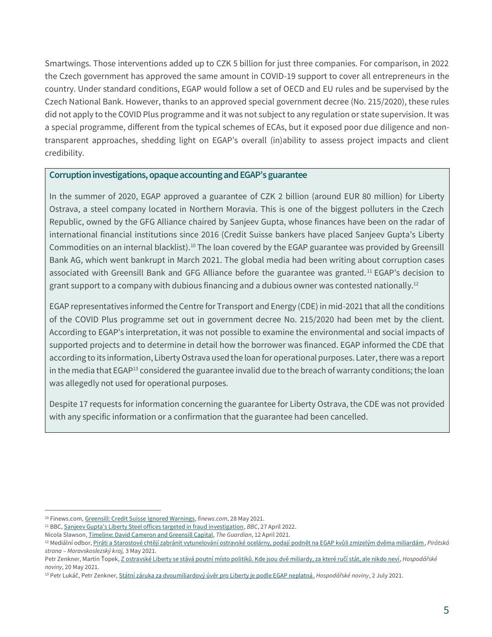Smartwings. Those interventions added up to CZK 5 billion for just three companies. For comparison, in 2022 the Czech government has approved the same amount in COVID-19 support to cover all entrepreneurs in the country. Under standard conditions, EGAP would follow a set of OECD and EU rules and be supervised by the Czech National Bank. However, thanks to an approved special government decree (No. 215/2020), these rules did not apply to the COVID Plus programme and it was not subject to any regulation or state supervision. It was a special programme, different from the typical schemes of ECAs, but it exposed poor due diligence and nontransparent approaches, shedding light on EGAP's overall (in)ability to assess project impacts and client credibility.

#### **Corruption investigations, opaque accounting and EGAP's guarantee**

In the summer of 2020, EGAP approved a guarantee of CZK 2 billion (around EUR 80 million) for Liberty Ostrava, a steel company located in Northern Moravia. This is one of the biggest polluters in the Czech Republic, owned by the GFG Alliance chaired by Sanjeev Gupta, whose finances have been on the radar of international financial institutions since 2016 (Credit Suisse bankers have placed Sanjeev Gupta's Liberty Commodities on an internal blacklist).<sup>10</sup> The loan covered by the EGAP guarantee was provided by Greensill Bank AG, which went bankrupt in March 2021. The global media had been writing about corruption cases associated with Greensill Bank and GFG Alliance before the guarantee was granted. <sup>11</sup> EGAP's decision to grant support to a company with dubious financing and a dubious owner was contested nationally.<sup>12</sup>

EGAP representatives informed the Centre for Transport and Energy (CDE) in mid-2021 that all the conditions of the COVID Plus programme set out in government decree No. 215/2020 had been met by the client. According to EGAP's interpretation, it was not possible to examine the environmental and social impacts of supported projects and to determine in detail how the borrower was financed. EGAP informed the CDE that according to its information, Liberty Ostrava used the loan for operational purposes. Later, there was a report in the media that EGAP<sup>13</sup> considered the guarantee invalid due to the breach of warranty conditions; the loan was allegedly not used for operational purposes.

Despite 17 requests for information concerning the guarantee for Liberty Ostrava, the CDE was not provided with any specific information or a confirmation that the guarantee had been cancelled.

 $\overline{a}$ 

<sup>10</sup> Finews.com, [Greensill: Credit Suisse Ignored Warnings,](https://www.finews.com/news/english-news/46453-greensill-credit-suisse-sanjeev-gupta-credit-suisse-liberty-commodities) *finews.com*, 28 May 2021.

<sup>11</sup> BBC[, Sanjeev Gupta's Liberty Steel offices targeted in fraud investigation,](https://www.bbc.com/news/business-61243841) *BBC*, 27 April 2022.

Nicola Slawson, [Timeline: David Cameron and Greensill Capital,](https://www.theguardian.com/politics/2021/apr/11/timeline-david-cameron-and-greensill-capital) *The Guardian*, 12 April 2021.

<sup>12</sup> Mediální odbor, Piráti [a Starostové chtějí zabránit vytunelování ostravské ocelárny, podají podnět na EGAP kvůli zmizelým dvěma miliardám](https://moravskoslezsky.pirati.cz/aktuality/liberty-v-ohrozeni.html), *Pirátská strana – Moravskoslezský kraj,* 3 May 2021.

Petr Zenkner, Martin Ťopek, [Z ostravské Liberty se stává poutní místo politiků. Kde jsou dvě miliardy, za které ručí stát, ale nikdo neví](https://archiv.hn.cz/c1-66926900-z-ostravske-liberty-se-stava-poutni-misto-politiku-kde-jsou-pujcene-dve-miliardy-ale-nikdo-nevi), *Hospodářské noviny*, 20 May 2021.

<sup>13</sup> Petr Lukáč, Petr Zenkner, [Státní záruka za dvoumiliardový úvěr pro Liberty je podle EGAP neplatná](https://archiv.hn.cz/c1-66947170-statni-zaruka-za-dvoumiliardovy-uver-pro-liberty-je-podle-egap-neplatna), *Hospodářské noviny*, 2 July 2021.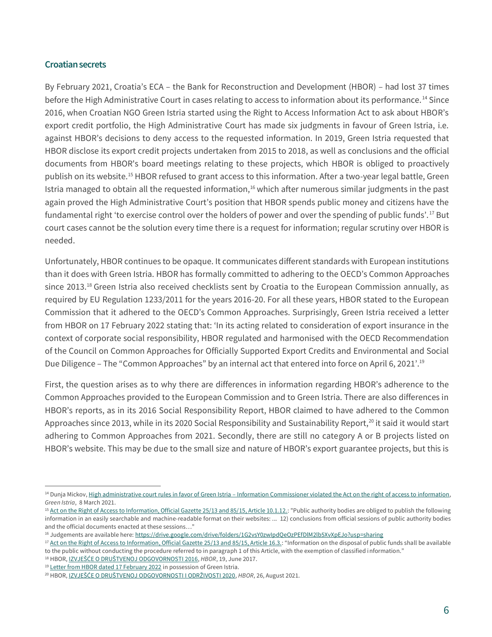#### **Croatian secrets**

 $\overline{a}$ 

By February 2021, Croatia's ECA – the Bank for Reconstruction and Development (HBOR) – had lost 37 times before the High Administrative Court in cases relating to access to information about its performance.<sup>14</sup> Since 2016, when Croatian NGO Green Istria started using the Right to Access Information Act to ask about HBOR's export credit portfolio, the High Administrative Court has made six judgments in favour of Green Istria, i.e. against HBOR's decisions to deny access to the requested information. In 2019, Green Istria requested that HBOR disclose its export credit projects undertaken from 2015 to 2018, as well as conclusions and the official documents from HBOR's board meetings relating to these projects, which HBOR is obliged to proactively publish on its website.<sup>15</sup> HBOR refused to grant access to this information. After a two-year legal battle, Green Istria managed to obtain all the requested information,<sup>16</sup> which after numerous similar judgments in the past again proved the High Administrative Court's position that HBOR spends public money and citizens have the fundamental right 'to exercise control over the holders of power and over the spending of public funds'. <sup>17</sup> But court cases cannot be the solution every time there is a request for information; regular scrutiny over HBOR is needed.

Unfortunately, HBOR continues to be opaque. It communicates different standards with European institutions than it does with Green Istria. HBOR has formally committed to adhering to the OECD's Common Approaches since 2013.<sup>18</sup> Green Istria also received checklists sent by Croatia to the European Commission annually, as required by EU Regulation 1233/2011 for the years 2016-20. For all these years, HBOR stated to the European Commission that it adhered to the OECD's Common Approaches. Surprisingly, Green Istria received a letter from HBOR on 17 February 2022 stating that: 'In its acting related to consideration of export insurance in the context of corporate social responsibility, HBOR regulated and harmonised with the OECD Recommendation of the Council on Common Approaches for Officially Supported Export Credits and Environmental and Social Due Diligence – The "Common Approaches" by an internal act that entered into force on April 6, 2021'.<sup>19</sup>

First, the question arises as to why there are differences in information regarding HBOR's adherence to the Common Approaches provided to the European Commission and to Green Istria. There are also differences in HBOR's reports, as in its 2016 Social Responsibility Report, HBOR claimed to have adhered to the Common Approaches since 2013, while in its 2020 Social Responsibility and Sustainability Report,<sup>20</sup> it said it would start adhering to Common Approaches from 2021. Secondly, there are still no category A or B projects listed on HBOR's website. This may be due to the small size and nature of HBOR's export guarantee projects, but this is

<sup>&</sup>lt;sup>14</sup> Dunja Mickov, High administrative court rules in favor of Green Istria – Information Commissioner violated the Act on the right of access to information, *Green Istria*, 8 March 2021.

<sup>&</sup>lt;sup>15</sup> [Act on the Right of Access to Information, Official Gazette 25/13 and 85/15, Article 10.1.12.:](https://www.pristupinfo.hr/wp-content/uploads/2019/05/ZPPI-procisceni-ENGLESKI.doc?x57830) "Public authority bodies are obliged to publish the following information in an easily searchable and machine-readable format on their websites: ... 12) conclusions from official sessions of public authority bodies and the official documents enacted at these sessions…"

<sup>&</sup>lt;sup>16</sup> Judgements are available here[: https://drive.google.com/drive/folders/1G2vsY0zwIpdQeOzPEfDlM2lb5XvXpEJo?usp=sharing](https://drive.google.com/drive/folders/1G2vsY0zwIpdQeOzPEfDlM2lb5XvXpEJo?usp=sharing)

<sup>&</sup>lt;sup>17</sup> [Act on the Right of Access to Information, Official Gazette 25/13 and 85/15, Article 16.3.](https://www.pristupinfo.hr/wp-content/uploads/2019/05/ZPPI-procisceni-ENGLESKI.doc?x57830): "Information on the disposal of public funds shall be available to the public without conducting the procedure referred to in paragraph 1 of this Article, with the exemption of classified information."

<sup>18</sup> HBOR, [IZVJEŠĆE O DRUŠTVENOJ ODGOVORNOSTI 2016](https://www.hbor.hr/wp-content/uploads/2016/11/HBOR-Izvjesce-o-drustvenoj-odgovornosti-2016.-30.6.17.-final.pdf), *HBOR*, 19, June 2017.

<sup>&</sup>lt;sup>19</sup> [Letter from HBOR dated 17 February 2022](https://drive.google.com/file/d/10_iclB57pQ0Acfq6yUPJ_vn0D5q3BJFO/view?usp=sharing) in possession of Green Istria.

<sup>20</sup> HBOR, [IZVJEŠĆE O DRUŠTVENOJ ODGOVORNOSTI I ODRŽIVOSTI 2020](https://www.hbor.hr/wp-content/uploads/2021/08/Izvjesce-o-drustvenoj-odgovornosti-i-odrzivosti-2020-final.pdf), *HBOR*, 26, August 2021.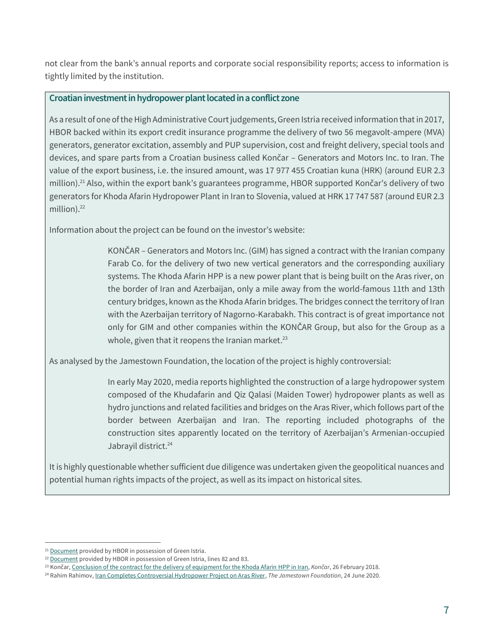not clear from the bank's annual reports and corporate social responsibility reports; access to information is tightly limited by the institution.

#### **Croatian investment in hydropower plant located in a conflict zone**

As a result of one of the High Administrative Court judgements, Green Istria received information that in 2017, HBOR backed within its export credit insurance programme the delivery of two 56 megavolt-ampere (MVA) generators, generator excitation, assembly and PUP supervision, cost and freight delivery, special tools and devices, and spare parts from a Croatian business called Končar – Generators and Motors Inc. to Iran. The value of the export business, i.e. the insured amount, was 17 977 455 Croatian kuna (HRK) (around EUR 2.3 million).<sup>21</sup> Also, within the export bank's guarantees programme, HBOR supported Končar's delivery of two generators for Khoda Afarin Hydropower Plant in Iran to Slovenia, valued at HRK 17 747 587 (around EUR 2.3 million).<sup>22</sup>

Information about the project can be found on the investor's website:

KONČAR – Generators and Motors Inc. (GIM) has signed a contract with the Iranian company Farab Co. for the delivery of two new vertical generators and the corresponding auxiliary systems. The Khoda Afarin HPP is a new power plant that is being built on the Aras river, on the border of Iran and Azerbaijan, only a mile away from the world-famous 11th and 13th century bridges, known as the Khoda Afarin bridges. The bridges connect the territory of Iran with the Azerbaijan territory of Nagorno-Karabakh. This contract is of great importance not only for GIM and other companies within the KONČAR Group, but also for the Group as a whole, given that it reopens the Iranian market.<sup>23</sup>

As analysed by the Jamestown Foundation, the location of the project is highly controversial:

In early May 2020, media reports highlighted the construction of a large hydropower system composed of the Khudafarin and Qiz Qalasi (Maiden Tower) hydropower plants as well as hydro junctions and related facilities and bridges on the Aras River, which follows part of the border between Azerbaijan and Iran. The reporting included photographs of the construction sites apparently located on the territory of Azerbaijan's Armenian-occupied Jabrayil district. 24

It is highly questionable whether sufficient due diligence was undertaken given the geopolitical nuances and potential human rights impacts of the project, as well as its impact on historical sites.

 $\overline{a}$ 

<sup>&</sup>lt;sup>21</sup> [Document](https://drive.google.com/file/d/1uZWtaoKhL_e7KefVcvseoN1s3CcscjOJ/view?usp=sharing) provided by HBOR in possession of Green Istria.

<sup>&</sup>lt;sup>22</sup> [Document](https://drive.google.com/file/d/1Tv9qqN6aNYbtdKwMjKjZOxmS9Xr1fj7E/view?usp=sharing) provided by HBOR in possession of Green Istria, lines 82 and 83.

<sup>23</sup> Končar, [Conclusion of the contract for the delivery of equipment for the Khoda Afarin HPP in Iran,](https://www.koncar.hr/en/conclusion-of-the-contract-for-the-delivery-of-equipment-for-the-khoda-afarin-hpp-in-iran/) *Končar*, 26 February 2018.

<sup>24</sup> Rahim Rahimov[, Iran Completes Controversial Hydropower Project on Aras River,](https://jamestown.org/program/iran-completes-controversial-hydropower-project-on-aras-river/) *The Jamestown Foundation*, 24 June 2020.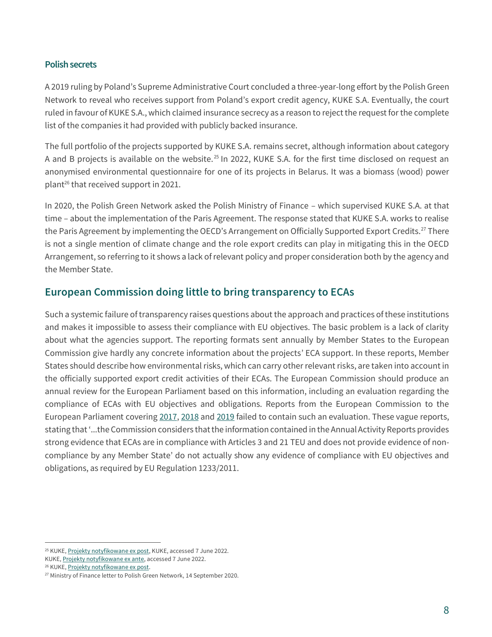#### **Polish secrets**

A 2019 ruling by Poland's Supreme Administrative Court concluded a three-year-long effort by the Polish Green Network to reveal who receives support from Poland's export credit agency, KUKE S.A. Eventually, the court ruled in favour of KUKE S.A., which claimed insurance secrecy as a reason to reject the request for the complete list of the companies it had provided with publicly backed insurance.

The full portfolio of the projects supported by KUKE S.A. remains secret, although information about category A and B projects is available on the website.<sup>25</sup> In 2022, KUKE S.A. for the first time disclosed on request an anonymised environmental questionnaire for one of its projects in Belarus. It was a biomass (wood) power plant<sup>26</sup> that received support in 2021.

In 2020, the Polish Green Network asked the Polish Ministry of Finance – which supervised KUKE S.A. at that time – about the implementation of the Paris Agreement. The response stated that KUKE S.A. works to realise the Paris Agreement by implementing the OECD's Arrangement on Officially Supported Export Credits.<sup>27</sup> There is not a single mention of climate change and the role export credits can play in mitigating this in the OECD Arrangement, so referring to it shows a lack of relevant policy and proper consideration both by the agency and the Member State.

# **European Commission doing little to bring transparency to ECAs**

Such a systemic failure of transparency raises questions about the approach and practices of these institutions and makes it impossible to assess their compliance with EU objectives. The basic problem is a lack of clarity about what the agencies support. The reporting formats sent annually by Member States to the European Commission give hardly any concrete information about the projects' ECA support. In these reports, Member States should describe how environmental risks, which can carry other relevant risks, are taken into account in the officially supported export credit activities of their ECAs. The European Commission should produce an annual review for the European Parliament based on this information, including an evaluation regarding the compliance of ECAs with EU objectives and obligations. Reports from the European Commission to the European Parliament coverin[g 2017,](https://eur-lex.europa.eu/legal-content/EN/TXT/PDF/?uri=CELEX:52020DC0348&from=EN) [2018](https://eur-lex.europa.eu/legal-content/EN/TXT/PDF/?uri=CELEX:52020DC0349&from=EN) an[d 2019](https://op.europa.eu/en/publication-detail/-/publication/df7560d2-e553-11eb-a1a5-01aa75ed71a1/language-en/format-PDF/source-225320375) failed to contain such an evaluation. These vague reports, stating that '...the Commission considers that the information contained in the Annual Activity Reports provides strong evidence that ECAs are in compliance with Articles 3 and 21 TEU and does not provide evidence of noncompliance by any Member State' do not actually show any evidence of compliance with EU objectives and obligations, as required by EU Regulation 1233/2011.

 $\overline{a}$ 

<sup>&</sup>lt;sup>25</sup> KUKE[, Projekty notyfikowane ex post,](https://kuke.com.pl/projekty-notyfikowane-ex-post) KUKE, accessed 7 June 2022.

KUKE, [Projekty notyfikowane ex ante,](https://kuke.com.pl/projekty-notyfikowane-ex-ante) accessed 7 June 2022.

<sup>26</sup> KUKE[, Projekty notyfikowane ex post.](https://kuke.com.pl/projekty-notyfikowane-ex-post)

<sup>&</sup>lt;sup>27</sup> Ministry of Finance letter to Polish Green Network, 14 September 2020.